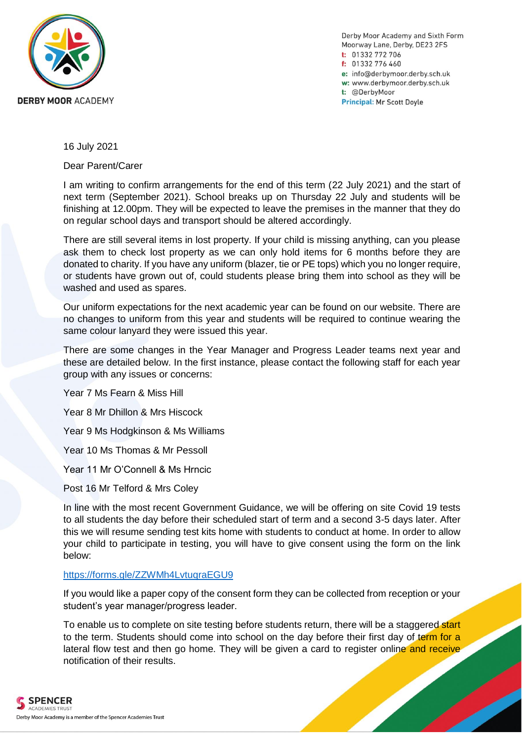

Derby Moor Academy and Sixth Form Moorway Lane, Derby, DE23 2FS t: 01332 772 706 f: 01332 776 460 e: info@derbymoor.derby.sch.uk w: www.derbymoor.derby.sch.uk t: @DerbyMoor **Principal: Mr Scott Doyle** 

16 July 2021

Dear Parent/Carer

I am writing to confirm arrangements for the end of this term (22 July 2021) and the start of next term (September 2021). School breaks up on Thursday 22 July and students will be finishing at 12.00pm. They will be expected to leave the premises in the manner that they do on regular school days and transport should be altered accordingly.

There are still several items in lost property. If your child is missing anything, can you please ask them to check lost property as we can only hold items for 6 months before they are donated to charity. If you have any uniform (blazer, tie or PE tops) which you no longer require, or students have grown out of, could students please bring them into school as they will be washed and used as spares.

Our uniform expectations for the next academic year can be found on our website. There are no changes to uniform from this year and students will be required to continue wearing the same colour lanyard they were issued this year.

There are some changes in the Year Manager and Progress Leader teams next year and these are detailed below. In the first instance, please contact the following staff for each year group with any issues or concerns:

Year 7 Ms Fearn & Miss Hill

Year 8 Mr Dhillon & Mrs Hiscock

Year 9 Ms Hodgkinson & Ms Williams

Year 10 Ms Thomas & Mr Pessoll

Year 11 Mr O'Connell & Ms Hrncic

Post 16 Mr Telford & Mrs Coley

In line with the most recent Government Guidance, we will be offering on site Covid 19 tests to all students the day before their scheduled start of term and a second 3-5 days later. After this we will resume sending test kits home with students to conduct at home. In order to allow your child to participate in testing, you will have to give consent using the form on the link below:

## <https://forms.gle/ZZWMh4LvtuqraEGU9>

If you would like a paper copy of the consent form they can be collected from reception or your student's year manager/progress leader.

To enable us to complete on site testing before students return, there will be a staggered start to the term. Students should come into school on the day before their first day of term for a lateral flow test and then go home. They will be given a card to register online and receive notification of their results.